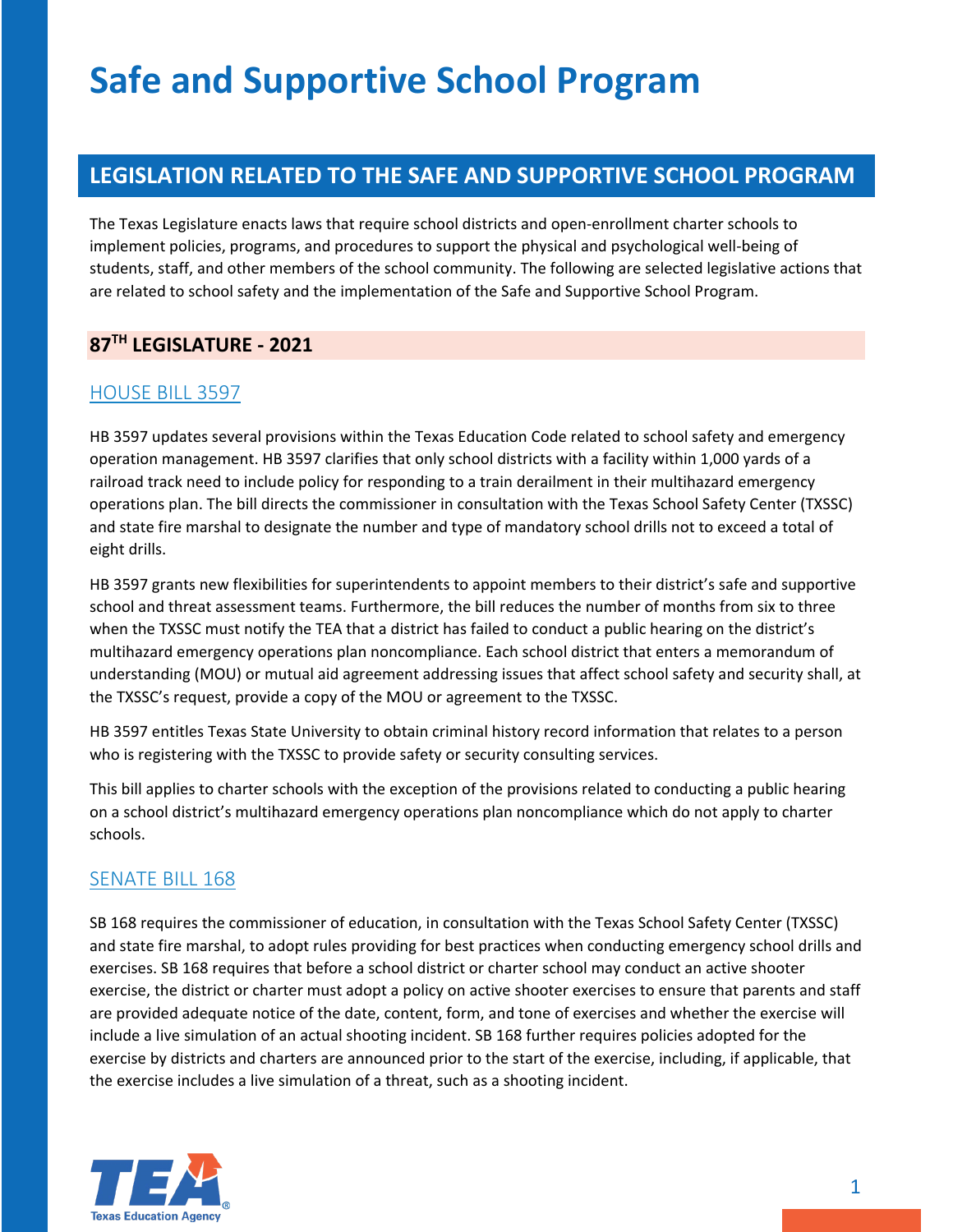## **LEGISLATION RELATED TO THE SAFE AND SUPPORTIVE SCHOOL PROGRAM**

The Texas Legislature enacts laws that require school districts and open-enrollment charter schools to implement policies, programs, and procedures to support the physical and psychological well-being of students, staff, and other members of the school community. The following are selected legislative actions that are related to school safety and the implementation of the Safe and Supportive School Program.

# **87TH LEGISLATURE - 2021**

#### [HOUSE BILL 3597](https://capitol.texas.gov/BillLookup/Text.aspx?LegSess=87R&Bill=HB3597)

HB 3597 updates several provisions within the Texas Education Code related to school safety and emergency operation management. HB 3597 clarifies that only school districts with a facility within 1,000 yards of a railroad track need to include policy for responding to a train derailment in their multihazard emergency operations plan. The bill directs the commissioner in consultation with the Texas School Safety Center (TXSSC) and state fire marshal to designate the number and type of mandatory school drills not to exceed a total of eight drills.

HB 3597 grants new flexibilities for superintendents to appoint members to their district's safe and supportive school and threat assessment teams. Furthermore, the bill reduces the number of months from six to three when the TXSSC must notify the TEA that a district has failed to conduct a public hearing on the district's multihazard emergency operations plan noncompliance. Each school district that enters a memorandum of understanding (MOU) or mutual aid agreement addressing issues that affect school safety and security shall, at the TXSSC's request, provide a copy of the MOU or agreement to the TXSSC.

HB 3597 entitles Texas State University to obtain criminal history record information that relates to a person who is registering with the TXSSC to provide safety or security consulting services.

This bill applies to charter schools with the exception of the provisions related to conducting a public hearing on a school district's multihazard emergency operations plan noncompliance which do not apply to charter schools.

#### [SENATE BILL 168](https://capitol.texas.gov/BillLookup/Text.aspx?LegSess=87R&Bill=SB168)

SB 168 requires the commissioner of education, in consultation with the Texas School Safety Center (TXSSC) and state fire marshal, to adopt rules providing for best practices when conducting emergency school drills and exercises. SB 168 requires that before a school district or charter school may conduct an active shooter exercise, the district or charter must adopt a policy on active shooter exercises to ensure that parents and staff are provided adequate notice of the date, content, form, and tone of exercises and whether the exercise will include a live simulation of an actual shooting incident. SB 168 further requires policies adopted for the exercise by districts and charters are announced prior to the start of the exercise, including, if applicable, that the exercise includes a live simulation of a threat, such as a shooting incident.

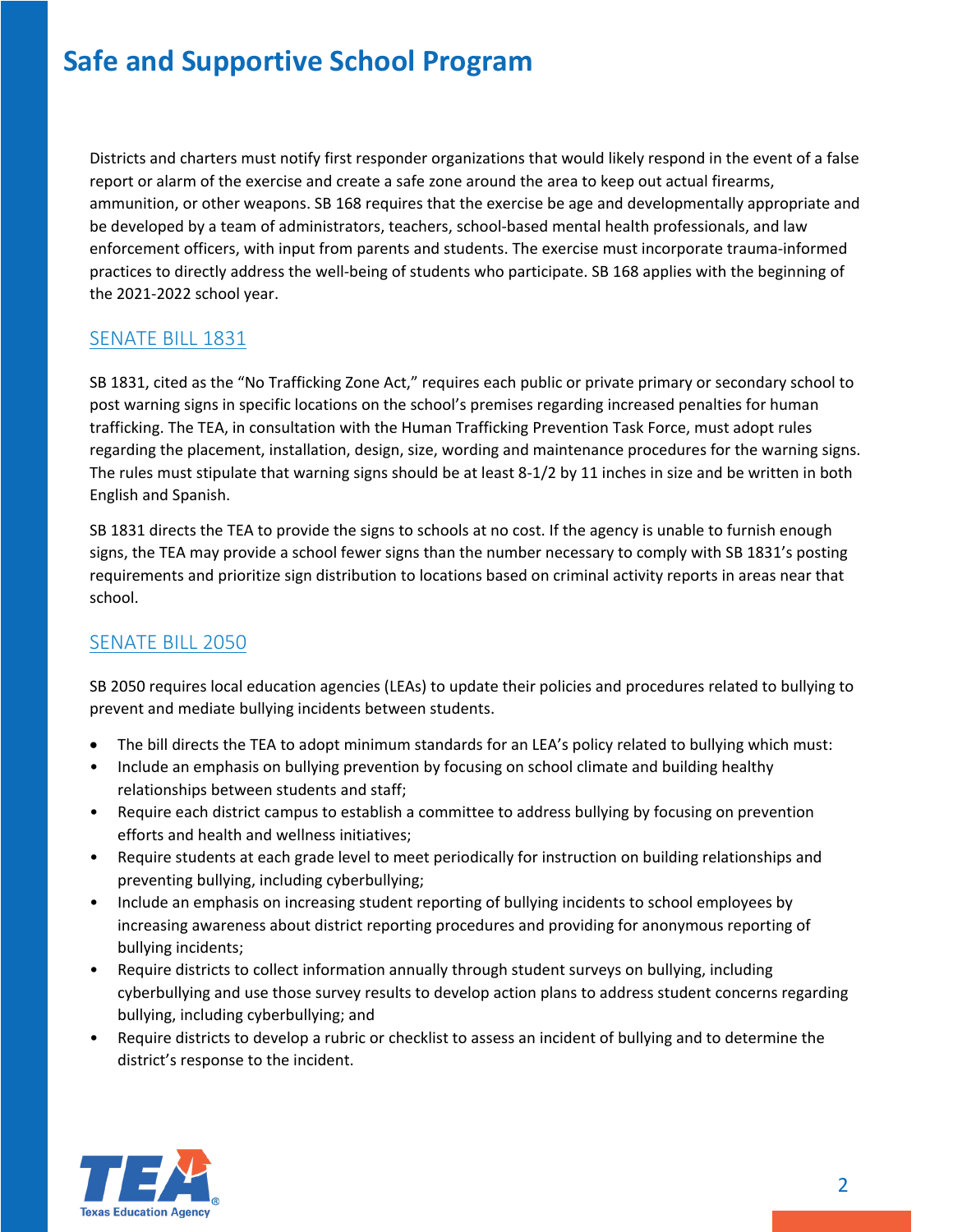Districts and charters must notify first responder organizations that would likely respond in the event of a false report or alarm of the exercise and create a safe zone around the area to keep out actual firearms, ammunition, or other weapons. SB 168 requires that the exercise be age and developmentally appropriate and be developed by a team of administrators, teachers, school-based mental health professionals, and law enforcement officers, with input from parents and students. The exercise must incorporate trauma-informed practices to directly address the well-being of students who participate. SB 168 applies with the beginning of the 2021-2022 school year.

#### [SENATE BILL 1831](https://capitol.texas.gov/BillLookup/Text.aspx?LegSess=87R&Bill=SB1831)

SB 1831, cited as the "No Trafficking Zone Act," requires each public or private primary or secondary school to post warning signs in specific locations on the school's premises regarding increased penalties for human trafficking. The TEA, in consultation with the Human Trafficking Prevention Task Force, must adopt rules regarding the placement, installation, design, size, wording and maintenance procedures for the warning signs. The rules must stipulate that warning signs should be at least 8-1/2 by 11 inches in size and be written in both English and Spanish.

SB 1831 directs the TEA to provide the signs to schools at no cost. If the agency is unable to furnish enough signs, the TEA may provide a school fewer signs than the number necessary to comply with SB 1831's posting requirements and prioritize sign distribution to locations based on criminal activity reports in areas near that school.

#### SENATE [BILL 2050](https://capitol.texas.gov/BillLookup/Text.aspx?LegSess=87R&Bill=SB2050)

SB 2050 requires local education agencies (LEAs) to update their policies and procedures related to bullying to prevent and mediate bullying incidents between students.

- The bill directs the TEA to adopt minimum standards for an LEA's policy related to bullying which must:
- Include an emphasis on bullying prevention by focusing on school climate and building healthy relationships between students and staff;
- Require each district campus to establish a committee to address bullying by focusing on prevention efforts and health and wellness initiatives;
- Require students at each grade level to meet periodically for instruction on building relationships and preventing bullying, including cyberbullying;
- Include an emphasis on increasing student reporting of bullying incidents to school employees by increasing awareness about district reporting procedures and providing for anonymous reporting of bullying incidents;
- Require districts to collect information annually through student surveys on bullying, including cyberbullying and use those survey results to develop action plans to address student concerns regarding bullying, including cyberbullying; and
- Require districts to develop a rubric or checklist to assess an incident of bullying and to determine the district's response to the incident.

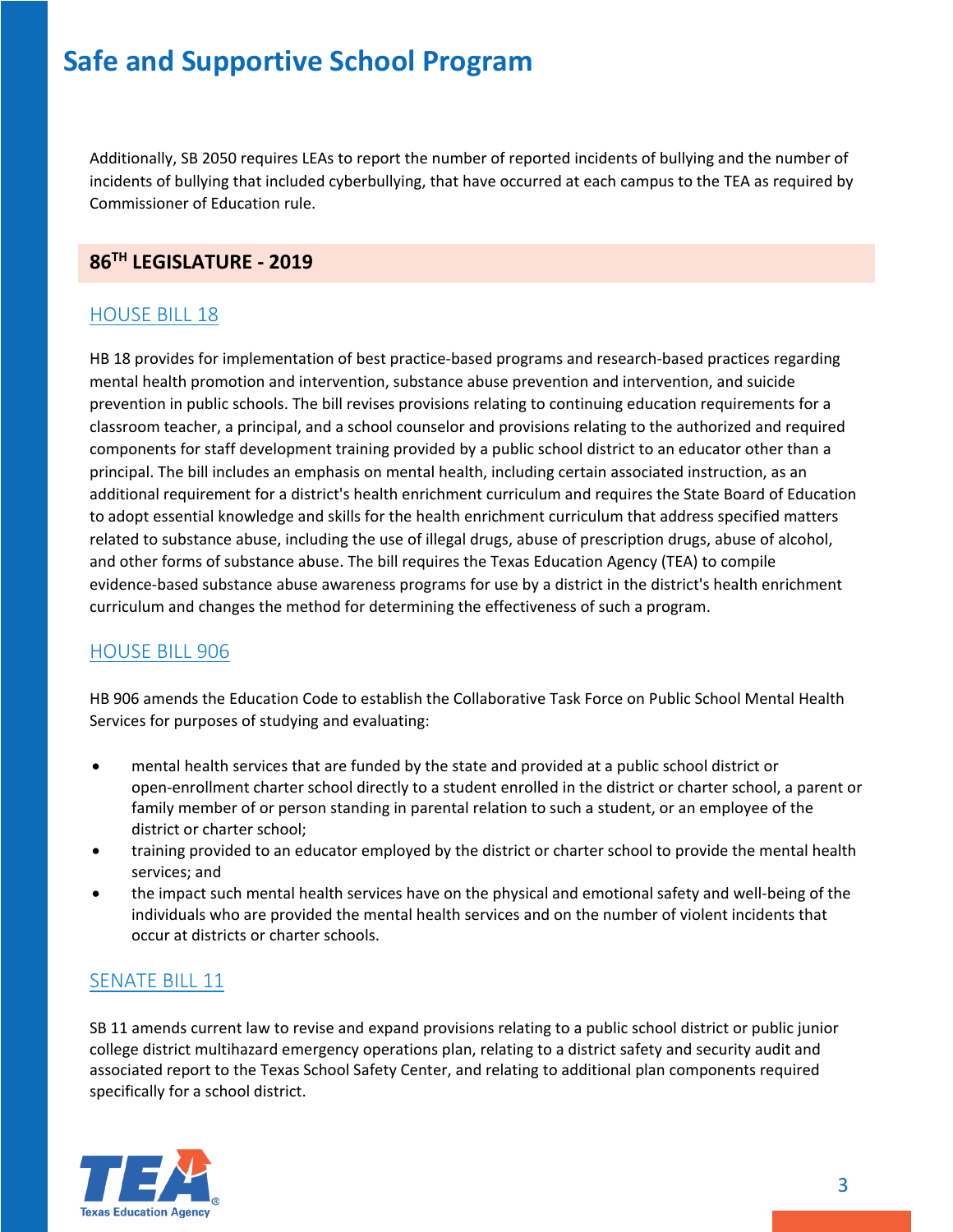Additionally, SB 2050 requires LEAs to report the number of reported incidents of bullying and the number of incidents of bullying that included cyberbullying, that have occurred at each campus to the TEA as required by Commissioner of Education rule.

#### **86TH LEGISLATURE - 2019**

### [HOUSE BILL 18](https://capitol.texas.gov/BillLookup/text.aspx?LegSess=86R&Bill=HB18)

HB 18 provides for implementation of best practice-based programs and research-based practices regarding mental health promotion and intervention, substance abuse prevention and intervention, and suicide prevention in public schools. The bill revises provisions relating to continuing education requirements for a classroom teacher, a principal, and a school counselor and provisions relating to the authorized and required components for staff development training provided by a public school district to an educator other than a principal. The bill includes an emphasis on mental health, including certain associated instruction, as an additional requirement for a district's health enrichment curriculum and requires the State Board of Education to adopt essential knowledge and skills for the health enrichment curriculum that address specified matters related to substance abuse, including the use of illegal drugs, abuse of prescription drugs, abuse of alcohol, and other forms of substance abuse. The bill requires the Texas Education Agency (TEA) to compile evidence-based substance abuse awareness programs for use by a district in the district's health enrichment curriculum and changes the method for determining the effectiveness of such a program.

### [HOUSE BILL 906](https://capitol.texas.gov/BillLookup/Text.aspx?LegSess=86R&Bill=HB906)

HB 906 amends the Education Code to establish the Collaborative Task Force on Public School Mental Health Services for purposes of studying and evaluating:

- mental health services that are funded by the state and provided at a public school district or open-enrollment charter school directly to a student enrolled in the district or charter school, a parent or family member of or person standing in parental relation to such a student, or an employee of the district or charter school;
- training provided to an educator employed by the district or charter school to provide the mental health services; and
- the impact such mental health services have on the physical and emotional safety and well-being of the individuals who are provided the mental health services and on the number of violent incidents that occur at districts or charter schools.

### [SENATE BILL 11](https://capitol.texas.gov/BillLookup/History.aspx?LegSess=86R&Bill=SB11)

SB 11 amends current law to revise and expand provisions relating to a public school district or public junior college district multihazard emergency operations plan, relating to a district safety and security audit and associated report to the Texas School Safety Center, and relating to additional plan components required specifically for a school district.